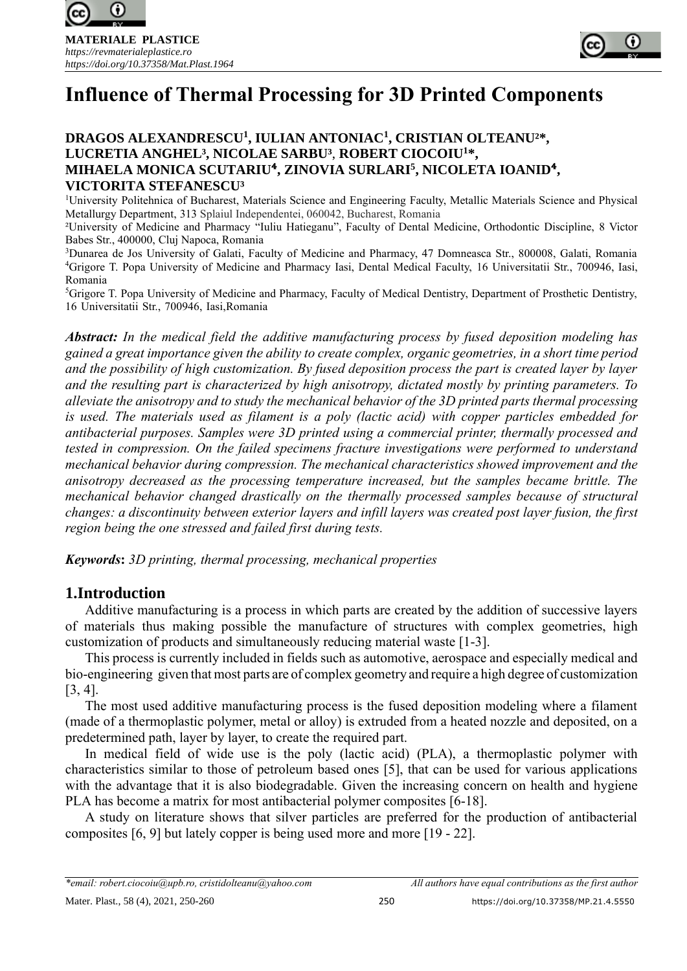



### **DRAGOS ALEXANDRESCU<sup>1</sup> , IULIAN ANTONIAC<sup>1</sup> , CRISTIAN OLTEANU²\*, LUCRETIA ANGHEL³, NICOLAE SARBU³**, **ROBERT CIOCOIU<sup>1</sup>\*, MIHAELA MONICA SCUTARIU**⁴**, ZINOVIA SURLARI<sup>5</sup> , NICOLETA IOANID**⁴**, VICTORITA STEFANESCU³**

<sup>1</sup>University Politehnica of Bucharest, Materials Science and Engineering Faculty, Metallic Materials Science and Physical Metallurgy Department, 313 Splaiul Independentei, 060042, Bucharest, Romania

²University of Medicine and Pharmacy "Iuliu Hatieganu", Faculty of Dental Medicine, Orthodontic Discipline, 8 Victor Babes Str., 400000, Cluj Napoca, Romania

<sup>3</sup>Dunarea de Jos University of Galati, Faculty of Medicine and Pharmacy, 47 Domneasca Str., 800008, Galati, Romania <sup>4</sup>Grigore T. Popa University of Medicine and Pharmacy Iasi, Dental Medical Faculty, 16 Universitatii Str., 700946, Iasi, Romania

<sup>5</sup>Grigore T. Popa University of Medicine and Pharmacy, Faculty of Medical Dentistry, Department of Prosthetic Dentistry, 16 Universitatii Str., 700946, Iasi,Romania

*Abstract: In the medical field the additive manufacturing process by fused deposition modeling has gained a great importance given the ability to create complex, organic geometries, in a short time period and the possibility of high customization. By fused deposition process the part is created layer by layer and the resulting part is characterized by high anisotropy, dictated mostly by printing parameters. To alleviate the anisotropy and to study the mechanical behavior of the 3D printed parts thermal processing is used. The materials used as filament is a poly (lactic acid) with copper particles embedded for antibacterial purposes. Samples were 3D printed using a commercial printer, thermally processed and tested in compression. On the failed specimens fracture investigations were performed to understand mechanical behavior during compression. The mechanical characteristics showed improvement and the anisotropy decreased as the processing temperature increased, but the samples became brittle. The mechanical behavior changed drastically on the thermally processed samples because of structural changes: a discontinuity between exterior layers and infill layers was created post layer fusion, the first region being the one stressed and failed first during tests.*

*Keywords***:** *3D printing, thermal processing, mechanical properties*

# **1.Introduction**

Additive manufacturing is a process in which parts are created by the addition of successive layers of materials thus making possible the manufacture of structures with complex geometries, high customization of products and simultaneously reducing material waste [1-3].

This process is currently included in fields such as automotive, aerospace and especially medical and bio-engineering given that most parts are of complex geometry and require a high degree of customization [3, 4].

The most used additive manufacturing process is the fused deposition modeling where a filament (made of a thermoplastic polymer, metal or alloy) is extruded from a heated nozzle and deposited, on a predetermined path, layer by layer, to create the required part.

In medical field of wide use is the poly (lactic acid) (PLA), a thermoplastic polymer with characteristics similar to those of petroleum based ones [5], that can be used for various applications with the advantage that it is also biodegradable. Given the increasing concern on health and hygiene PLA has become a matrix for most antibacterial polymer composites [6-18].

A study on literature shows that silver particles are preferred for the production of antibacterial composites [6, 9] but lately copper is being used more and more [19 - 22].

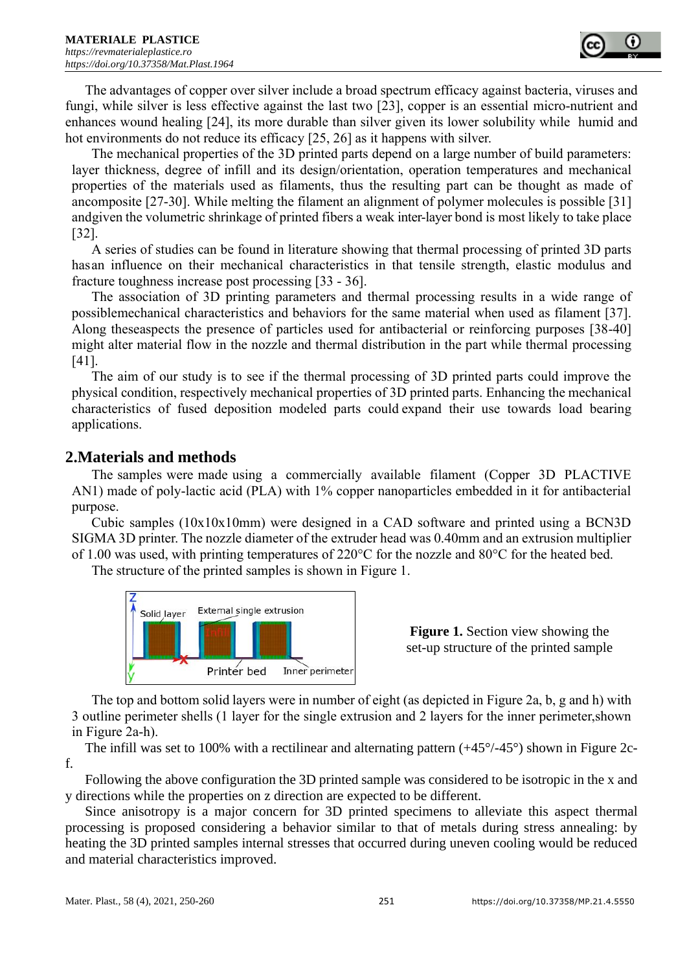The advantages of copper over silver include a broad spectrum efficacy against bacteria, viruses and fungi, while silver is less effective against the last two [23], copper is an essential micro-nutrient and enhances wound healing [24], its more durable than silver given its lower solubility while humid and hot environments do not reduce its efficacy [25, 26] as it happens with silver.

The mechanical properties of the 3D printed parts depend on a large number of build parameters: layer thickness, degree of infill and its design/orientation, operation temperatures and mechanical properties of the materials used as filaments, thus the resulting part can be thought as made of ancomposite [27-30]. While melting the filament an alignment of polymer molecules is possible [31] andgiven the volumetric shrinkage of printed fibers a weak inter-layer bond is most likely to take place [32].

A series of studies can be found in literature showing that thermal processing of printed 3D parts hasan influence on their mechanical characteristics in that tensile strength, elastic modulus and fracture toughness increase post processing [33 - 36].

The association of 3D printing parameters and thermal processing results in a wide range of possiblemechanical characteristics and behaviors for the same material when used as filament [37]. Along theseaspects the presence of particles used for antibacterial or reinforcing purposes [38-40] might alter material flow in the nozzle and thermal distribution in the part while thermal processing [41].

The aim of our study is to see if the thermal processing of 3D printed parts could improve the physical condition, respectively mechanical properties of 3D printed parts. Enhancing the mechanical characteristics of fused deposition modeled parts could expand their use towards load bearing applications.

# **2.Materials and methods**

The samples were made using a commercially available filament (Copper 3D PLACTIVE AN1) made of poly-lactic acid (PLA) with 1% copper nanoparticles embedded in it for antibacterial purpose.

Cubic samples (10x10x10mm) were designed in a CAD software and printed using a BCN3D SIGMA 3D printer. The nozzle diameter of the extruder head was 0.40mm and an extrusion multiplier of 1.00 was used, with printing temperatures of 220°C for the nozzle and 80°C for the heated bed.

The structure of the printed samples is shown in Figure 1.



**Figure 1.** Section view showing the set-up structure of the printed sample

The top and bottom solid layers were in number of eight (as depicted in Figure 2a, b, g and h) with 3 outline perimeter shells (1 layer for the single extrusion and 2 layers for the inner perimeter,shown in Figure 2a-h).

The infill was set to 100% with a rectilinear and alternating pattern (+45°/-45°) shown in Figure 2cf.

Following the above configuration the 3D printed sample was considered to be isotropic in the x and y directions while the properties on z direction are expected to be different.

Since anisotropy is a major concern for 3D printed specimens to alleviate this aspect thermal processing is proposed considering a behavior similar to that of metals during stress annealing: by heating the 3D printed samples internal stresses that occurred during uneven cooling would be reduced and material characteristics improved.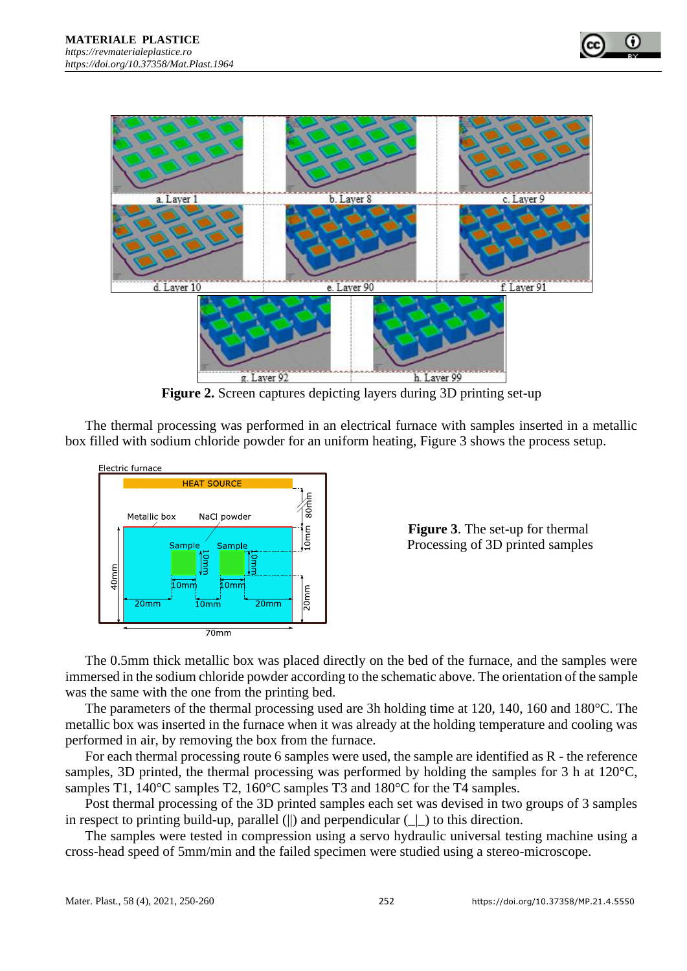

**Figure 2.** Screen captures depicting layers during 3D printing set-up

The thermal processing was performed in an electrical furnace with samples inserted in a metallic box filled with sodium chloride powder for an uniform heating, Figure 3 shows the process setup.



**Figure 3**. The set-up for thermal Processing of 3D printed samples

The 0.5mm thick metallic box was placed directly on the bed of the furnace, and the samples were immersed in the sodium chloride powder according to the schematic above. The orientation of the sample was the same with the one from the printing bed.

The parameters of the thermal processing used are 3h holding time at 120, 140, 160 and 180°C. The metallic box was inserted in the furnace when it was already at the holding temperature and cooling was performed in air, by removing the box from the furnace.

For each thermal processing route 6 samples were used, the sample are identified as R - the reference samples, 3D printed, the thermal processing was performed by holding the samples for 3 h at 120°C, samples T1, 140°C samples T2, 160°C samples T3 and 180°C for the T4 samples.

Post thermal processing of the 3D printed samples each set was devised in two groups of 3 samples in respect to printing build-up, parallel (||) and perpendicular  $( \ | )$  to this direction.

The samples were tested in compression using a servo hydraulic universal testing machine using a cross-head speed of 5mm/min and the failed specimen were studied using a stereo-microscope.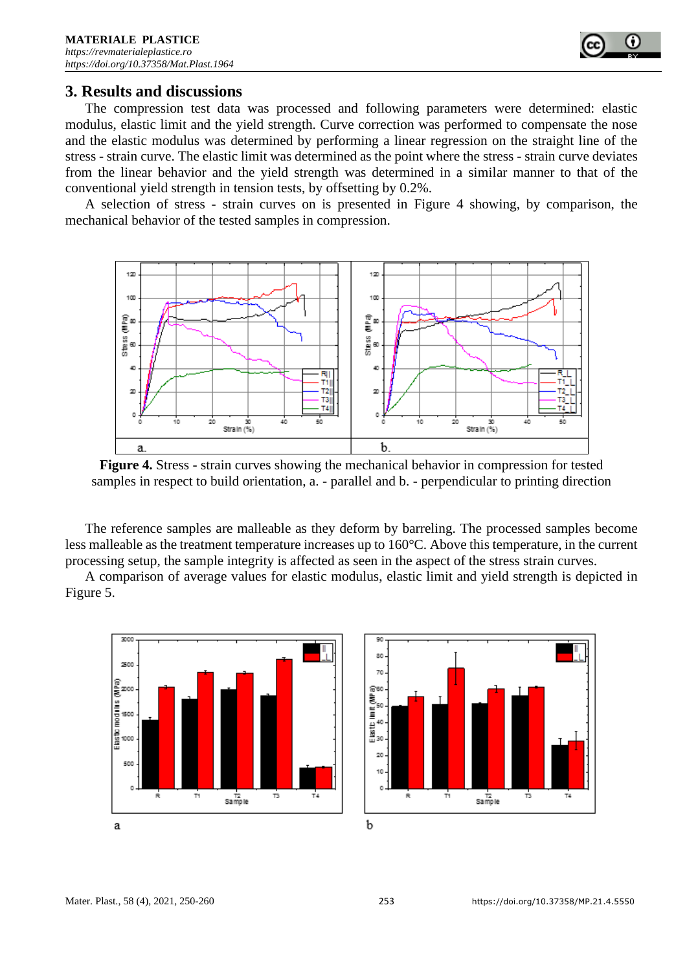

# **3. Results and discussions**

The compression test data was processed and following parameters were determined: elastic modulus, elastic limit and the yield strength. Curve correction was performed to compensate the nose and the elastic modulus was determined by performing a linear regression on the straight line of the stress - strain curve. The elastic limit was determined as the point where the stress - strain curve deviates from the linear behavior and the yield strength was determined in a similar manner to that of the conventional yield strength in tension tests, by offsetting by 0.2%.

A selection of stress - strain curves on is presented in Figure 4 showing, by comparison, the mechanical behavior of the tested samples in compression.



**Figure 4.** Stress - strain curves showing the mechanical behavior in compression for tested samples in respect to build orientation, a. - parallel and b. - perpendicular to printing direction

The reference samples are malleable as they deform by barreling. The processed samples become less malleable as the treatment temperature increases up to 160°C. Above this temperature, in the current processing setup, the sample integrity is affected as seen in the aspect of the stress strain curves.

A comparison of average values for elastic modulus, elastic limit and yield strength is depicted in Figure 5.



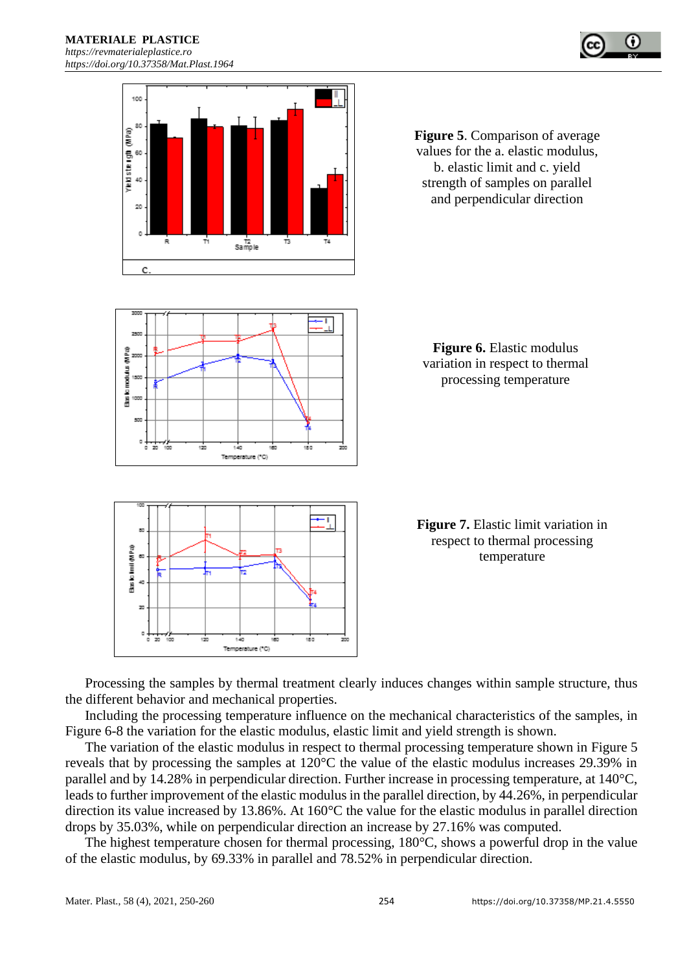



**Figure 5**. Comparison of average values for the a. elastic modulus, b. elastic limit and c. yield strength of samples on parallel and perpendicular direction



**Figure 6.** Elastic modulus variation in respect to thermal processing temperature



**Figure 7.** Elastic limit variation in respect to thermal processing temperature

Processing the samples by thermal treatment clearly induces changes within sample structure, thus the different behavior and mechanical properties.

Including the processing temperature influence on the mechanical characteristics of the samples, in Figure 6-8 the variation for the elastic modulus, elastic limit and yield strength is shown.

The variation of the elastic modulus in respect to thermal processing temperature shown in Figure 5 reveals that by processing the samples at 120°C the value of the elastic modulus increases 29.39% in parallel and by 14.28% in perpendicular direction. Further increase in processing temperature, at 140°C, leads to further improvement of the elastic modulus in the parallel direction, by 44.26%, in perpendicular direction its value increased by 13.86%. At 160°C the value for the elastic modulus in parallel direction drops by 35.03%, while on perpendicular direction an increase by 27.16% was computed.

The highest temperature chosen for thermal processing, 180°C, shows a powerful drop in the value of the elastic modulus, by 69.33% in parallel and 78.52% in perpendicular direction.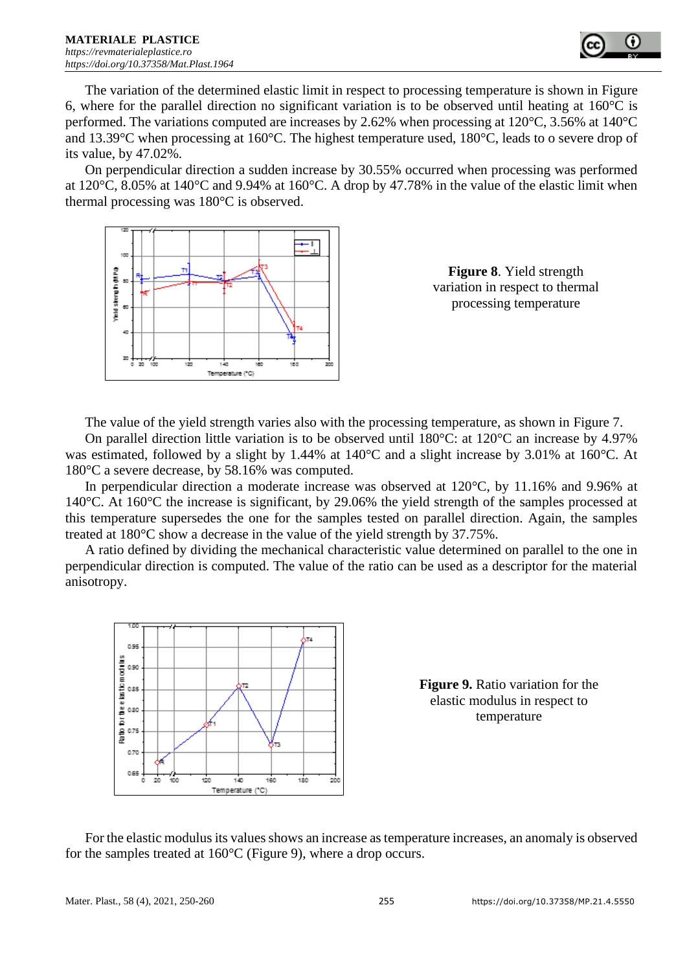

The variation of the determined elastic limit in respect to processing temperature is shown in Figure 6, where for the parallel direction no significant variation is to be observed until heating at 160°C is performed. The variations computed are increases by 2.62% when processing at 120°C, 3.56% at 140°C and 13.39°C when processing at 160°C. The highest temperature used, 180°C, leads to o severe drop of its value, by 47.02%.

On perpendicular direction a sudden increase by 30.55% occurred when processing was performed at 120°C, 8.05% at 140°C and 9.94% at 160°C. A drop by 47.78% in the value of the elastic limit when thermal processing was 180°C is observed.



**Figure 8**. Yield strength variation in respect to thermal processing temperature

The value of the yield strength varies also with the processing temperature, as shown in Figure 7.

On parallel direction little variation is to be observed until 180°C: at 120°C an increase by 4.97% was estimated, followed by a slight by 1.44% at 140°C and a slight increase by 3.01% at 160°C. At 180°C a severe decrease, by 58.16% was computed.

In perpendicular direction a moderate increase was observed at 120°C, by 11.16% and 9.96% at 140°C. At 160°C the increase is significant, by 29.06% the yield strength of the samples processed at this temperature supersedes the one for the samples tested on parallel direction. Again, the samples treated at 180°C show a decrease in the value of the yield strength by 37.75%.

A ratio defined by dividing the mechanical characteristic value determined on parallel to the one in perpendicular direction is computed. The value of the ratio can be used as a descriptor for the material anisotropy.



**Figure 9.** Ratio variation for the elastic modulus in respect to temperature

For the elastic modulus its values shows an increase as temperature increases, an anomaly is observed for the samples treated at 160°C (Figure 9), where a drop occurs.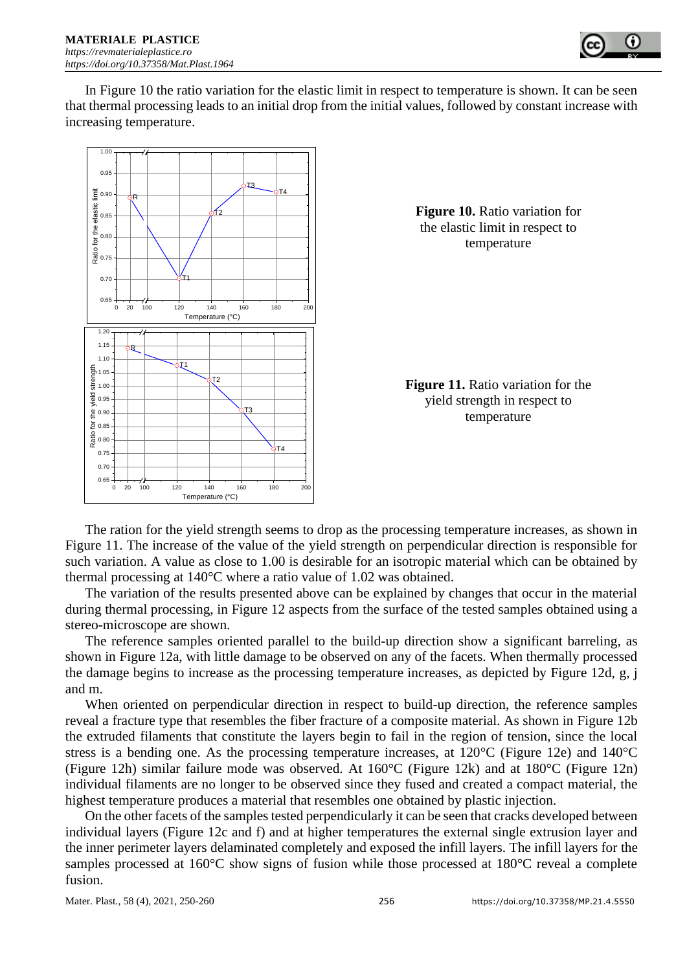

In Figure 10 the ratio variation for the elastic limit in respect to temperature is shown. It can be seen that thermal processing leads to an initial drop from the initial values, followed by constant increase with increasing temperature.



The ration for the yield strength seems to drop as the processing temperature increases, as shown in Figure 11. The increase of the value of the yield strength on perpendicular direction is responsible for such variation. A value as close to 1.00 is desirable for an isotropic material which can be obtained by thermal processing at 140°C where a ratio value of 1.02 was obtained.

The variation of the results presented above can be explained by changes that occur in the material during thermal processing, in Figure 12 aspects from the surface of the tested samples obtained using a stereo-microscope are shown.

The reference samples oriented parallel to the build-up direction show a significant barreling, as shown in Figure 12a, with little damage to be observed on any of the facets. When thermally processed the damage begins to increase as the processing temperature increases, as depicted by Figure 12d, g, j and m.

When oriented on perpendicular direction in respect to build-up direction, the reference samples reveal a fracture type that resembles the fiber fracture of a composite material. As shown in Figure 12b the extruded filaments that constitute the layers begin to fail in the region of tension, since the local stress is a bending one. As the processing temperature increases, at 120°C (Figure 12e) and 140°C (Figure 12h) similar failure mode was observed. At 160°C (Figure 12k) and at 180°C (Figure 12n) individual filaments are no longer to be observed since they fused and created a compact material, the highest temperature produces a material that resembles one obtained by plastic injection.

On the other facets of the samples tested perpendicularly it can be seen that cracks developed between individual layers (Figure 12c and f) and at higher temperatures the external single extrusion layer and the inner perimeter layers delaminated completely and exposed the infill layers. The infill layers for the samples processed at 160°C show signs of fusion while those processed at 180°C reveal a complete fusion.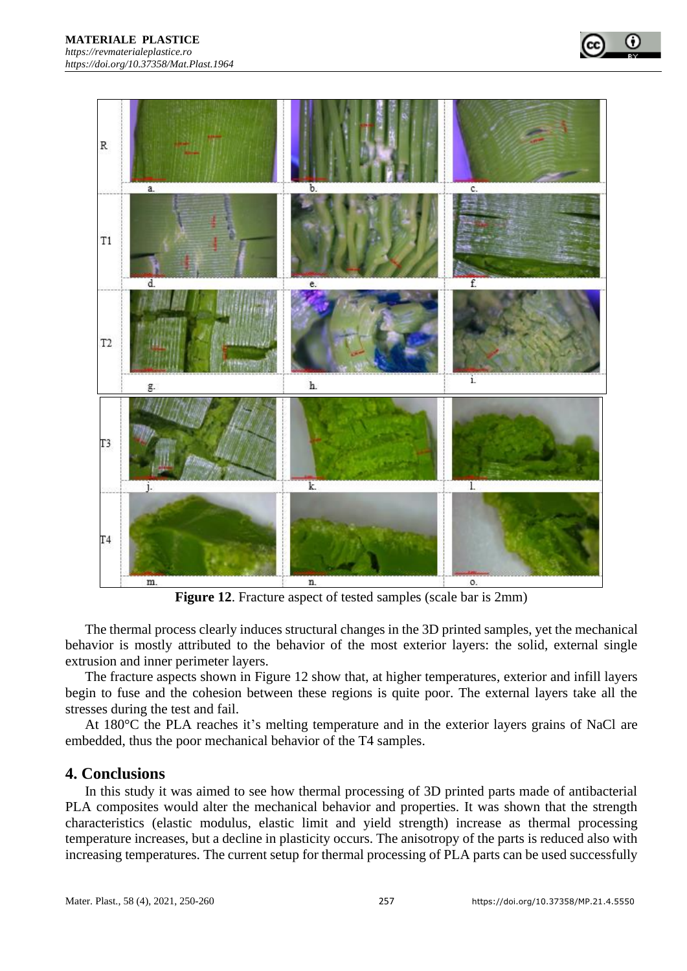

**Figure 12**. Fracture aspect of tested samples (scale bar is 2mm)

The thermal process clearly induces structural changes in the 3D printed samples, yet the mechanical behavior is mostly attributed to the behavior of the most exterior layers: the solid, external single extrusion and inner perimeter layers.

The fracture aspects shown in Figure 12 show that, at higher temperatures, exterior and infill layers begin to fuse and the cohesion between these regions is quite poor. The external layers take all the stresses during the test and fail.

At 180°C the PLA reaches it's melting temperature and in the exterior layers grains of NaCl are embedded, thus the poor mechanical behavior of the T4 samples.

### **4. Conclusions**

In this study it was aimed to see how thermal processing of 3D printed parts made of antibacterial PLA composites would alter the mechanical behavior and properties. It was shown that the strength characteristics (elastic modulus, elastic limit and yield strength) increase as thermal processing temperature increases, but a decline in plasticity occurs. The anisotropy of the parts is reduced also with increasing temperatures. The current setup for thermal processing of PLA parts can be used successfully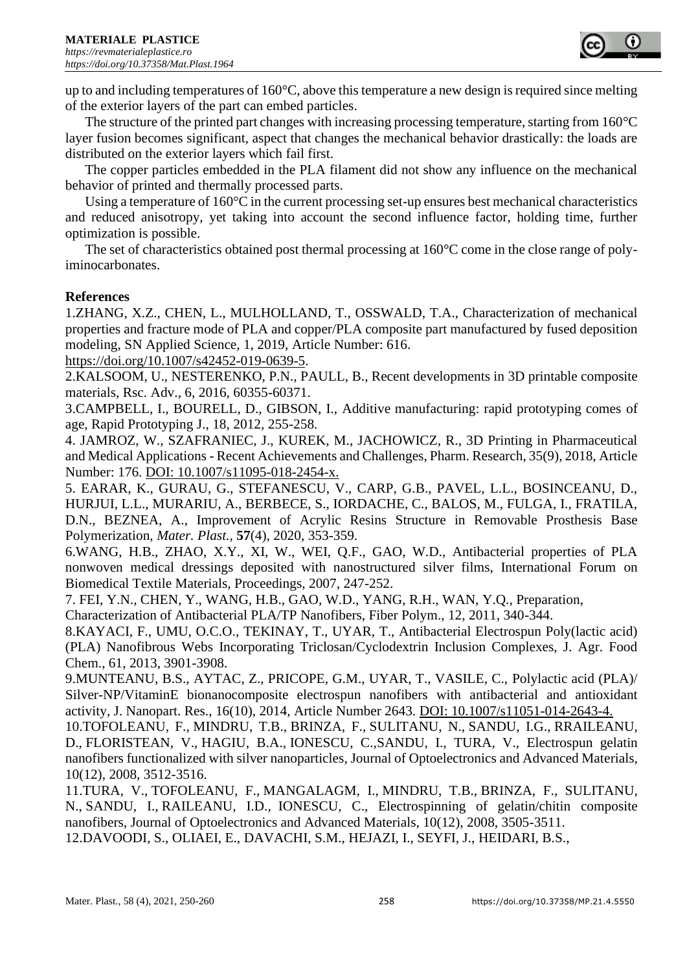

up to and including temperatures of 160°C, above this temperature a new design is required since melting of the exterior layers of the part can embed particles.

The structure of the printed part changes with increasing processing temperature, starting from  $160^{\circ}$ C layer fusion becomes significant, aspect that changes the mechanical behavior drastically: the loads are distributed on the exterior layers which fail first.

The copper particles embedded in the PLA filament did not show any influence on the mechanical behavior of printed and thermally processed parts.

Using a temperature of 160<sup>o</sup>C in the current processing set-up ensures best mechanical characteristics and reduced anisotropy, yet taking into account the second influence factor, holding time, further optimization is possible.

The set of characteristics obtained post thermal processing at 160°C come in the close range of polyiminocarbonates.

### **References**

1.ZHANG, X.Z., CHEN, L., MULHOLLAND, T., OSSWALD, T.A., Characterization of mechanical properties and fracture mode of PLA and copper/PLA composite part manufactured by fused deposition modeling, SN Applied Science, 1, 2019, Article Number: 616.

https://doi.org/10.1007/s42452-019-0639-5.

2.KALSOOM, U., NESTERENKO, P.N., PAULL, B., Recent developments in 3D printable composite materials, Rsc. Adv., 6, 2016, 60355-60371.

3.CAMPBELL, I., BOURELL, D., GIBSON, I., Additive manufacturing: rapid prototyping comes of age, Rapid Prototyping J., 18, 2012, 255-258.

4. JAMROZ, W., SZAFRANIEC, J., KUREK, M., JACHOWICZ, R., 3D Printing in Pharmaceutical and Medical Applications - Recent Achievements and Challenges, Pharm. Research, 35(9), 2018, Article Number: 176. DOI: 10.1007/s11095-018-2454-x.

5. EARAR, K., GURAU, G., STEFANESCU, V., CARP, G.B., PAVEL, L.L., BOSINCEANU, D., HURJUI, L.L., MURARIU, A., BERBECE, S., IORDACHE, C., BALOS, M., FULGA, I., FRATILA, D.N., BEZNEA, A., Improvement of Acrylic Resins Structure in Removable Prosthesis Base Polymerization, *Mater. Plast.,* **57**(4), 2020, 353-359.

6.WANG, H.B., ZHAO, X.Y., XI, W., WEI, Q.F., GAO, W.D., Antibacterial properties of PLA nonwoven medical dressings deposited with nanostructured silver films, International Forum on Biomedical Textile Materials, Proceedings, 2007, 247-252.

7. FEI, Y.N., CHEN, Y., WANG, H.B., GAO, W.D., YANG, R.H., WAN, Y.Q., Preparation,

Characterization of Antibacterial PLA/TP Nanofibers, Fiber Polym., 12, 2011, 340-344.

8.KAYACI, F., UMU, O.C.O., TEKINAY, T., UYAR, T., Antibacterial Electrospun Poly(lactic acid) (PLA) Nanofibrous Webs Incorporating Triclosan/Cyclodextrin Inclusion Complexes, J. Agr. Food Chem., 61, 2013, 3901-3908.

9.MUNTEANU, B.S., AYTAC, Z., PRICOPE, G.M., UYAR, T., VASILE, C., Polylactic acid (PLA)/ Silver-NP/VitaminE bionanocomposite electrospun nanofibers with antibacterial and antioxidant activity, J. Nanopart. Res., 16(10), 2014, Article Number 2643. DOI: 10.1007/s11051-014-2643-4.

10[.TOFOLEANU, F.](http://apps.webofknowledge.com/OutboundService.do?SID=E2f1VXX8mzq3WGVSAHe&mode=rrcAuthorRecordService&action=go&product=WOS&lang=en_US&daisIds=1533092), [MINDRU, T.B.](http://apps.webofknowledge.com/OutboundService.do?SID=E2f1VXX8mzq3WGVSAHe&mode=rrcAuthorRecordService&action=go&product=WOS&lang=en_US&daisIds=3540081), [BRINZA, F.](http://apps.webofknowledge.com/OutboundService.do?SID=E2f1VXX8mzq3WGVSAHe&mode=rrcAuthorRecordService&action=go&product=WOS&lang=en_US&daisIds=1421638), [SULITANU, N.](http://apps.webofknowledge.com/OutboundService.do?SID=E2f1VXX8mzq3WGVSAHe&mode=rrcAuthorRecordService&action=go&product=WOS&lang=en_US&daisIds=1199862), [SANDU, I.G.](http://apps.webofknowledge.com/OutboundService.do?SID=E2f1VXX8mzq3WGVSAHe&mode=rrcAuthorRecordService&action=go&product=WOS&lang=en_US&daisIds=321814), [RRAILEANU,](http://apps.webofknowledge.com/OutboundService.do?SID=E2f1VXX8mzq3WGVSAHe&mode=rrcAuthorRecordService&action=go&product=WOS&lang=en_US&daisIds=4785168)  [D.](http://apps.webofknowledge.com/OutboundService.do?SID=E2f1VXX8mzq3WGVSAHe&mode=rrcAuthorRecordService&action=go&product=WOS&lang=en_US&daisIds=4785168), [FLORISTEAN, V.](http://apps.webofknowledge.com/OutboundService.do?SID=E2f1VXX8mzq3WGVSAHe&mode=rrcAuthorRecordService&action=go&product=WOS&lang=en_US&daisIds=3111208), [HAGIU, B.A.](http://apps.webofknowledge.com/OutboundService.do?SID=E2f1VXX8mzq3WGVSAHe&mode=rrcAuthorRecordService&action=go&product=WOS&lang=en_US&daisIds=5698635), [IONESCU, C.](http://apps.webofknowledge.com/OutboundService.do?SID=E2f1VXX8mzq3WGVSAHe&mode=rrcAuthorRecordService&action=go&product=WOS&lang=en_US&daisIds=2333404)[,SANDU, I.](http://apps.webofknowledge.com/OutboundService.do?SID=E2f1VXX8mzq3WGVSAHe&mode=rrcAuthorRecordService&action=go&product=WOS&lang=en_US&daisIds=41644), TURA, V., Electrospun gelatin nanofibers functionalized with silver nanoparticles, Journal of Optoelectronics and Advanced Materials, 10(12), 2008, 3512-3516.

11[.TURA, V.](http://apps.webofknowledge.com/OutboundService.do?SID=E2f1VXX8mzq3WGVSAHe&mode=rrcAuthorRecordService&action=go&product=WOS&lang=en_US&daisIds=45581541), [TOFOLEANU, F.](http://apps.webofknowledge.com/OutboundService.do?SID=E2f1VXX8mzq3WGVSAHe&mode=rrcAuthorRecordService&action=go&product=WOS&lang=en_US&daisIds=1533092), [MANGALAGM, I.](http://apps.webofknowledge.com/OutboundService.do?SID=E2f1VXX8mzq3WGVSAHe&mode=rrcAuthorRecordService&action=go&product=WOS&lang=en_US&daisIds=35290008), [MINDRU, T.B.](http://apps.webofknowledge.com/OutboundService.do?SID=E2f1VXX8mzq3WGVSAHe&mode=rrcAuthorRecordService&action=go&product=WOS&lang=en_US&daisIds=3540081), [BRINZA, F.](http://apps.webofknowledge.com/OutboundService.do?SID=E2f1VXX8mzq3WGVSAHe&mode=rrcAuthorRecordService&action=go&product=WOS&lang=en_US&daisIds=1421638), [SULITANU,](http://apps.webofknowledge.com/OutboundService.do?SID=E2f1VXX8mzq3WGVSAHe&mode=rrcAuthorRecordService&action=go&product=WOS&lang=en_US&daisIds=1199862)  [N.](http://apps.webofknowledge.com/OutboundService.do?SID=E2f1VXX8mzq3WGVSAHe&mode=rrcAuthorRecordService&action=go&product=WOS&lang=en_US&daisIds=1199862), [SANDU, I.](http://apps.webofknowledge.com/OutboundService.do?SID=E2f1VXX8mzq3WGVSAHe&mode=rrcAuthorRecordService&action=go&product=WOS&lang=en_US&daisIds=41644), [RAILEANU, I.D.](http://apps.webofknowledge.com/OutboundService.do?SID=E2f1VXX8mzq3WGVSAHe&mode=rrcAuthorRecordService&action=go&product=WOS&lang=en_US&daisIds=38168791), [IONESCU, C.](http://apps.webofknowledge.com/OutboundService.do?SID=E2f1VXX8mzq3WGVSAHe&mode=rrcAuthorRecordService&action=go&product=WOS&lang=en_US&daisIds=1389130), Electrospinning of gelatin/chitin composite nanofibers, Journal of Optoelectronics and Advanced Materials, 10(12), 2008, 3505-3511.

12.DAVOODI, S., OLIAEI, E., DAVACHI, S.M., HEJAZI, I., SEYFI, J., HEIDARI, B.S.,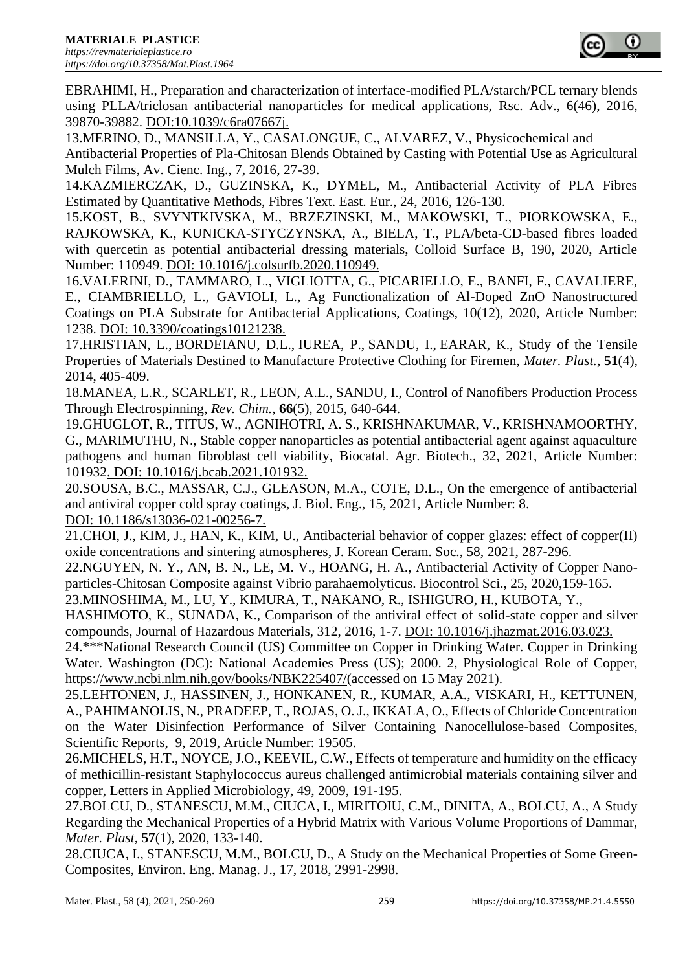

EBRAHIMI, H., Preparation and characterization of interface-modified PLA/starch/PCL ternary blends using PLLA/triclosan antibacterial nanoparticles for medical applications, Rsc. Adv., 6(46), 2016, 39870-39882. DOI:10.1039/c6ra07667j.

13.MERINO, D., MANSILLA, Y., CASALONGUE, C., ALVAREZ, V., Physicochemical and

Antibacterial Properties of Pla-Chitosan Blends Obtained by Casting with Potential Use as Agricultural Mulch Films, Av. Cienc. Ing., 7, 2016, 27-39.

14.KAZMIERCZAK, D., GUZINSKA, K., DYMEL, M., Antibacterial Activity of PLA Fibres Estimated by Quantitative Methods, Fibres Text. East. Eur., 24, 2016, 126-130.

15.KOST, B., SVYNTKIVSKA, M., BRZEZINSKI, M., MAKOWSKI, T., PIORKOWSKA, E., RAJKOWSKA, K., KUNICKA-STYCZYNSKA, A., BIELA, T., PLA/beta-CD-based fibres loaded with quercetin as potential antibacterial dressing materials, Colloid Surface B, 190, 2020, Article Number: 110949. DOI: 10.1016/j.colsurfb.2020.110949.

16.VALERINI, D., TAMMARO, L., VIGLIOTTA, G., PICARIELLO, E., BANFI, F., CAVALIERE, E., CIAMBRIELLO, L., GAVIOLI, L., Ag Functionalization of Al-Doped ZnO Nanostructured Coatings on PLA Substrate for Antibacterial Applications, Coatings, 10(12), 2020, Article Number: 1238. DOI: 10.3390/coatings10121238.

17[.HRISTIAN, L.](http://apps.webofknowledge.com/OutboundService.do?SID=E2f1VXX8mzq3WGVSAHe&mode=rrcAuthorRecordService&action=go&product=WOS&lang=en_US&daisIds=2173394), [BORDEIANU,](http://apps.webofknowledge.com/OutboundService.do?SID=E2f1VXX8mzq3WGVSAHe&mode=rrcAuthorRecordService&action=go&product=WOS&lang=en_US&daisIds=11565470) D.L., [IUREA, P.](http://apps.webofknowledge.com/OutboundService.do?SID=E2f1VXX8mzq3WGVSAHe&mode=rrcAuthorRecordService&action=go&product=WOS&lang=en_US&daisIds=25609233), [SANDU, I.](http://apps.webofknowledge.com/OutboundService.do?SID=E2f1VXX8mzq3WGVSAHe&mode=rrcAuthorRecordService&action=go&product=WOS&lang=en_US&daisIds=41644), [EARAR, K.](http://apps.webofknowledge.com/OutboundService.do?SID=E2f1VXX8mzq3WGVSAHe&mode=rrcAuthorRecordService&action=go&product=WOS&lang=en_US&daisIds=885693), Study of the Tensile Properties of Materials Destined to Manufacture Protective Clothing for Firemen, *Mater. Plast.*, **51**(4), 2014, 405-409.

18[.MANEA, L.R.](http://apps.webofknowledge.com/OutboundService.do?SID=E2f1VXX8mzq3WGVSAHe&mode=rrcAuthorRecordService&action=go&product=WOS&lang=en_US&daisIds=685001), [SCARLET, R.](http://apps.webofknowledge.com/OutboundService.do?SID=E2f1VXX8mzq3WGVSAHe&mode=rrcAuthorRecordService&action=go&product=WOS&lang=en_US&daisIds=3927366), [LEON, A.L.](http://apps.webofknowledge.com/OutboundService.do?SID=E2f1VXX8mzq3WGVSAHe&mode=rrcAuthorRecordService&action=go&product=WOS&lang=en_US&daisIds=3401645), [SANDU, I.](http://apps.webofknowledge.com/OutboundService.do?SID=E2f1VXX8mzq3WGVSAHe&mode=rrcAuthorRecordService&action=go&product=WOS&lang=en_US&daisIds=41644), Control of Nanofibers Production Process Through Electrospinning, *Rev. Chim.,* **66**(5), 2015, 640-644.

19.GHUGLOT, R., TITUS, W., AGNIHOTRI, A. S., KRISHNAKUMAR, V., KRISHNAMOORTHY, G., MARIMUTHU, N., Stable copper nanoparticles as potential antibacterial agent against aquaculture pathogens and human fibroblast cell viability, Biocatal. Agr. Biotech., 32, 2021, Article Number: 101932. DOI: 10.1016/j.bcab.2021.101932.

20.SOUSA, B.C., MASSAR, C.J., GLEASON, M.A., COTE, D.L., On the emergence of antibacterial and antiviral copper cold spray coatings, J. Biol. Eng., 15, 2021, Article Number: 8. DOI: 10.1186/s13036-021-00256-7.

21.CHOI, J., KIM, J., HAN, K., KIM, U., Antibacterial behavior of copper glazes: effect of copper(II) oxide concentrations and sintering atmospheres, J. Korean Ceram. Soc., 58, 2021, 287-296.

22.NGUYEN, N. Y., AN, B. N., LE, M. V., HOANG, H. A., Antibacterial Activity of Copper Nanoparticles-Chitosan Composite against Vibrio parahaemolyticus. Biocontrol Sci., 25, 2020,159-165.

23.MINOSHIMA, M., LU, Y., KIMURA, T., NAKANO, R., ISHIGURO, H., KUBOTA, Y.,

HASHIMOTO, K., SUNADA, K., Comparison of the antiviral effect of solid-state copper and silver compounds, Journal of Hazardous Materials, 312, 2016, 1-7. DOI: 10.1016/j.jhazmat.2016.03.023.

24.\*\*\*National Research Council (US) Committee on Copper in Drinking Water. Copper in Drinking Water. Washington (DC): National Academies Press (US); 2000. 2, Physiological Role of Copper, https:[//www.ncbi.nlm.nih.gov/books/NBK225407/\(](http://www.ncbi.nlm.nih.gov/books/NBK225407/)accessed on 15 May 2021).

25.LEHTONEN, J., HASSINEN, J., HONKANEN, R., KUMAR, A.A., VISKARI, H., KETTUNEN, A., PAHIMANOLIS, N., PRADEEP, T., ROJAS, O. J., IKKALA, O., Effects of Chloride Concentration on the Water Disinfection Performance of Silver Containing Nanocellulose-based Composites, Scientific Reports, 9, 2019, Article Number: 19505.

26.MICHELS, H.T., NOYCE, J.O., KEEVIL, C.W., Effects of temperature and humidity on the efficacy of methicillin-resistant Staphylococcus aureus challenged antimicrobial materials containing silver and copper, Letters in Applied Microbiology, 49, 2009, 191-195.

27.BOLCU, D., STANESCU, M.M., CIUCA, I., MIRITOIU, C.M., DINITA, A., BOLCU, A., A Study Regarding the Mechanical Properties of a Hybrid Matrix with Various Volume Proportions of Dammar, *Mater. Plast*, **57**(1), 2020, 133-140.

28.CIUCA, I., STANESCU, M.M., BOLCU, D., A Study on the Mechanical Properties of Some Green-Composites, Environ. Eng. Manag. J., 17, 2018, 2991-2998.